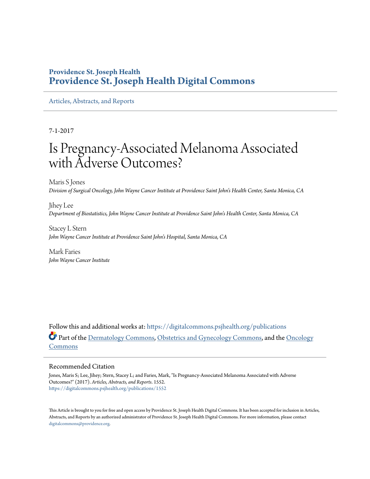## **Providence St. Joseph Health [Providence St. Joseph Health Digital Commons](https://digitalcommons.psjhealth.org?utm_source=digitalcommons.psjhealth.org%2Fpublications%2F1552&utm_medium=PDF&utm_campaign=PDFCoverPages)**

[Articles, Abstracts, and Reports](https://digitalcommons.psjhealth.org/publications?utm_source=digitalcommons.psjhealth.org%2Fpublications%2F1552&utm_medium=PDF&utm_campaign=PDFCoverPages)

7-1-2017

# Is Pregnancy-Associated Melanoma Associated with Adverse Outcomes?

Maris S Jones *Division of Surgical Oncology, John Wayne Cancer Institute at Providence Saint John's Health Center, Santa Monica, CA*

Jihey Lee *Department of Biostatistics, John Wayne Cancer Institute at Providence Saint John's Health Center, Santa Monica, CA*

Stacey L Stern *John Wayne Cancer Institute at Providence Saint John's Hospital, Santa Monica, CA*

Mark Faries *John Wayne Cancer Institute*

Follow this and additional works at: [https://digitalcommons.psjhealth.org/publications](https://digitalcommons.psjhealth.org/publications?utm_source=digitalcommons.psjhealth.org%2Fpublications%2F1552&utm_medium=PDF&utm_campaign=PDFCoverPages) Part of the [Dermatology Commons,](http://network.bepress.com/hgg/discipline/684?utm_source=digitalcommons.psjhealth.org%2Fpublications%2F1552&utm_medium=PDF&utm_campaign=PDFCoverPages) [Obstetrics and Gynecology Commons](http://network.bepress.com/hgg/discipline/693?utm_source=digitalcommons.psjhealth.org%2Fpublications%2F1552&utm_medium=PDF&utm_campaign=PDFCoverPages), and the [Oncology](http://network.bepress.com/hgg/discipline/694?utm_source=digitalcommons.psjhealth.org%2Fpublications%2F1552&utm_medium=PDF&utm_campaign=PDFCoverPages) [Commons](http://network.bepress.com/hgg/discipline/694?utm_source=digitalcommons.psjhealth.org%2Fpublications%2F1552&utm_medium=PDF&utm_campaign=PDFCoverPages)

#### Recommended Citation

Jones, Maris S; Lee, Jihey; Stern, Stacey L; and Faries, Mark, "Is Pregnancy-Associated Melanoma Associated with Adverse Outcomes?" (2017). *Articles, Abstracts, and Reports*. 1552. [https://digitalcommons.psjhealth.org/publications/1552](https://digitalcommons.psjhealth.org/publications/1552?utm_source=digitalcommons.psjhealth.org%2Fpublications%2F1552&utm_medium=PDF&utm_campaign=PDFCoverPages)

This Article is brought to you for free and open access by Providence St. Joseph Health Digital Commons. It has been accepted for inclusion in Articles, Abstracts, and Reports by an authorized administrator of Providence St. Joseph Health Digital Commons. For more information, please contact [digitalcommons@providence.org](mailto:digitalcommons@providence.org).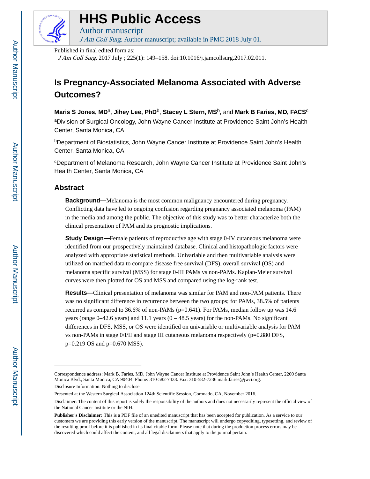

# **HHS Public Access**

Author manuscript J Am Coll Surg. Author manuscript; available in PMC 2018 July 01.

Published in final edited form as:

J Am Coll Surg. 2017 July ; 225(1): 149–158. doi:10.1016/j.jamcollsurg.2017.02.011.

# **Is Pregnancy-Associated Melanoma Associated with Adverse Outcomes?**

Maris S Jones, MD<sup>a</sup>, Jihey Lee, PhD<sup>b</sup>, Stacey L Stern, MS<sup>b</sup>, and Mark B Faries, MD, FACS<sup>c</sup> aDivision of Surgical Oncology, John Wayne Cancer Institute at Providence Saint John's Health Center, Santa Monica, CA

<sup>b</sup>Department of Biostatistics, John Wayne Cancer Institute at Providence Saint John's Health Center, Santa Monica, CA

<sup>c</sup>Department of Melanoma Research, John Wayne Cancer Institute at Providence Saint John's Health Center, Santa Monica, CA

## **Abstract**

**Background—**Melanoma is the most common malignancy encountered during pregnancy. Conflicting data have led to ongoing confusion regarding pregnancy associated melanoma (PAM) in the media and among the public. The objective of this study was to better characterize both the clinical presentation of PAM and its prognostic implications.

**Study Design—**Female patients of reproductive age with stage 0-IV cutaneous melanoma were identified from our prospectively maintained database. Clinical and histopathologic factors were analyzed with appropriate statistical methods. Univariable and then multivariable analysis were utilized on matched data to compare disease free survival (DFS), overall survival (OS) and melanoma specific survival (MSS) for stage 0-III PAMs vs non-PAMs. Kaplan-Meier survival curves were then plotted for OS and MSS and compared using the log-rank test.

**Results—**Clinical presentation of melanoma was similar for PAM and non-PAM patients. There was no significant difference in recurrence between the two groups; for PAMs, 38.5% of patients recurred as compared to 36.6% of non-PAMs (p=0.641). For PAMs, median follow up was 14.6 years (range  $0-42.6$  years) and 11.1 years  $(0-48.5$  years) for the non-PAMs. No significant differences in DFS, MSS, or OS were identified on univariable or multivariable analysis for PAM vs non-PAMs in stage 0/I/II and stage III cutaneous melanoma respectively (p=0.880 DFS, p=0.219 OS and p=0.670 MSS).

Correspondence address: Mark B. Faries, MD, John Wayne Cancer Institute at Providence Saint John's Health Center, 2200 Santa Monica Blvd., Santa Monica, CA 90404. Phone: 310-582-7438. Fax: 310-582-7236 mark.faries@jwci.org. Disclosure Information: Nothing to disclose.

Presented at the Western Surgical Association 124th Scientific Session, Coronado, CA, November 2016.

Disclaimer: The content of this report is solely the responsibility of the authors and does not necessarily represent the official view of the National Cancer Institute or the NIH.

**Publisher's Disclaimer:** This is a PDF file of an unedited manuscript that has been accepted for publication. As a service to our customers we are providing this early version of the manuscript. The manuscript will undergo copyediting, typesetting, and review of the resulting proof before it is published in its final citable form. Please note that during the production process errors may be discovered which could affect the content, and all legal disclaimers that apply to the journal pertain.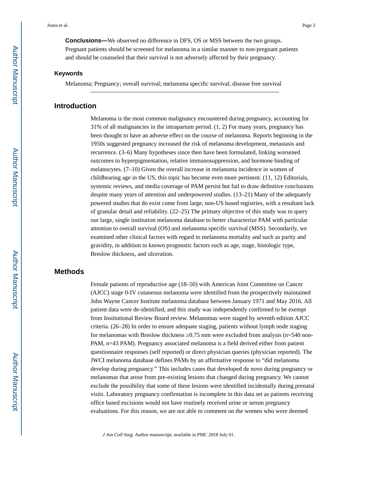**Conclusions—**We observed no difference in DFS, OS or MSS between the two groups. Pregnant patients should be screened for melanoma in a similar manner to non-pregnant patients and should be counseled that their survival is not adversely affected by their pregnancy.

#### **Keywords**

Melanoma; Pregnancy; overall survival; melanoma specific survival; disease free survival

#### **Introduction**

Melanoma is the most common malignancy encountered during pregnancy, accounting for 31% of all malignancies in the intrapartum period. (1, 2) For many years, pregnancy has been thought to have an adverse effect on the course of melanoma. Reports beginning in the 1950s suggested pregnancy increased the risk of melanoma development, metastasis and recurrence. (3–6) Many hypotheses since then have been formulated, linking worsened outcomes to hyperpigmentation, relative immunosuppression, and hormone binding of melanocytes. (7–10) Given the overall increase in melanoma incidence in women of childbearing age in the US, this topic has become even more pertinent. (11, 12) Editorials, systemic reviews, and media coverage of PAM persist but fail to draw definitive conclusions despite many years of attention and underpowered studies. (13–21) Many of the adequately powered studies that do exist come from large, non-US based registries, with a resultant lack of granular detail and reliability. (22–25) The primary objective of this study was to query our large, single institution melanoma database to better characterize PAM with particular attention to overall survival (OS) and melanoma specific survival (MSS). Secondarily, we examined other clinical factors with regard to melanoma mortality and such as parity and gravidity, in addition to known prognostic factors such as age, stage, histologic type, Breslow thickness, and ulceration.

#### **Methods**

Female patients of reproductive age (18–50) with American Joint Committee on Cancer (AJCC) stage 0-IV cutaneous melanoma were identified from the prospectively maintained John Wayne Cancer Institute melanoma database between January 1971 and May 2016. All patient data were de-identified, and this study was independently confirmed to be exempt from Institutional Review Board review. Melanomas were staged by seventh edition AJCC criteria. (26–28) In order to ensure adequate staging, patients without lymph node staging for melanomas with Breslow thickness  $0.75$  mm were excluded from analysis (n=540 non-PAM, n=43 PAM). Pregnancy associated melanoma is a field derived either from patient questionnaire responses (self reported) or direct physician queries (physician reported). The JWCI melanoma database defines PAMs by an affirmative response to "did melanoma develop during pregnancy." This includes cases that developed de novo during pregnancy or melanomas that arose from pre-existing lesions that changed during pregnancy. We cannot exclude the possibility that some of these lesions were identified incidentally during prenatal visits. Laboratory pregnancy confirmation is incomplete in this data set as patients receiving office based excisions would not have routinely received urine or serum pregnancy evaluations. For this reason, we are not able to comment on the women who were deemed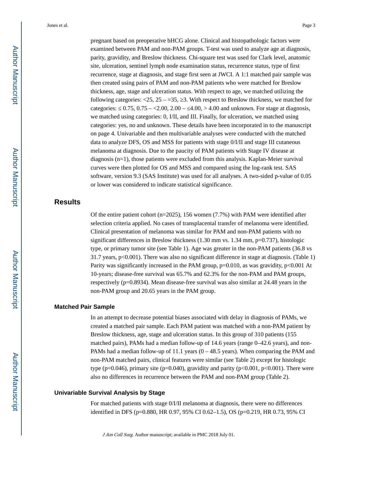pregnant based on preoperative bHCG alone. Clinical and histopathologic factors were examined between PAM and non-PAM groups. T-test was used to analyze age at diagnosis, parity, gravidity, and Breslow thickness. Chi-square test was used for Clark level, anatomic site, ulceration, sentinel lymph node examination status, recurrence status, type of first recurrence, stage at diagnosis, and stage first seen at JWCI. A 1:1 matched pair sample was then created using pairs of PAM and non-PAM patients who were matched for Breslow thickness, age, stage and ulceration status. With respect to age, we matched utilizing the following categories:  $\langle 25, 25, -35, 3$ . With respect to Breslow thickness, we matched for categories:  $0.75, 0.75 - 2.00, 2.00 - 4.00, 2.00$  and unknown. For stage at diagnosis, we matched using categories: 0, I/II, and III. Finally, for ulceration, we matched using categories: yes, no and unknown. These details have been incorporated in to the manuscript on page 4. Univariable and then multivariable analyses were conducted with the matched data to analyze DFS, OS and MSS for patients with stage 0/I/II and stage III cutaneous melanoma at diagnosis. Due to the paucity of PAM patients with Stage IV disease at diagnosis (n=1), those patients were excluded from this analysis. Kaplan-Meier survival curves were then plotted for OS and MSS and compared using the log-rank test. SAS software, version 9.3 (SAS Institute) was used for all analyses. A two-sided p-value of 0.05 or lower was considered to indicate statistical significance.

### **Results**

Of the entire patient cohort ( $n=2025$ ), 156 women (7.7%) with PAM were identified after selection criteria applied. No cases of transplacental transfer of melanoma were identified. Clinical presentation of melanoma was similar for PAM and non-PAM patients with no significant differences in Breslow thickness  $(1.30 \text{ mm vs. } 1.34 \text{ mm}, \text{p=0.737})$ , histologic type, or primary tumor site (see Table 1). Age was greater in the non-PAM patients (36.8 vs 31.7 years, p<0.001). There was also no significant difference in stage at diagnosis. (Table 1) Parity was significantly increased in the PAM group,  $p=0.010$ , as was gravidity,  $p<0.001$  At 10-years; disease-free survival was 65.7% and 62.3% for the non-PAM and PAM groups, respectively (p=0.8934). Mean disease-free survival was also similar at 24.48 years in the non-PAM group and 20.65 years in the PAM group.

#### **Matched Pair Sample**

In an attempt to decrease potential biases associated with delay in diagnosis of PAMs, we created a matched pair sample. Each PAM patient was matched with a non-PAM patient by Breslow thickness, age, stage and ulceration status. In this group of 310 patients (155 matched pairs), PAMs had a median follow-up of 14.6 years (range  $0-42.6$  years), and non-PAMs had a median follow-up of 11.1 years  $(0 - 48.5$  years). When comparing the PAM and non-PAM matched pairs, clinical features were similar (see Table 2) except for histologic type (p=0.046), primary site (p=0.040), gravidity and parity (p<0.001, p<0.001). There were also no differences in recurrence between the PAM and non-PAM group (Table 2).

#### **Univariable Survival Analysis by Stage**

For matched patients with stage 0/I/II melanoma at diagnosis, there were no differences identified in DFS (p=0.880, HR 0.97, 95% CI 0.62–1.5), OS (p=0.219, HR 0.73, 95% CI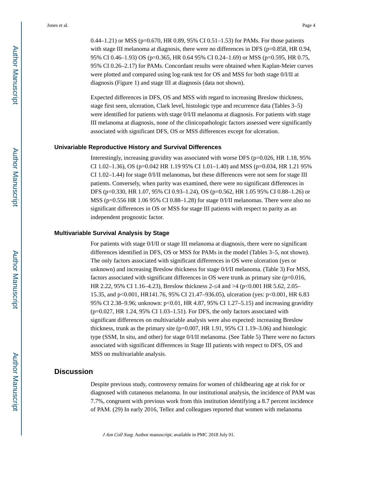0.44–1.21) or MSS (p=0.670, HR 0.89, 95% CI 0.51–1.53) for PAMs. For those patients with stage III melanoma at diagnosis, there were no differences in DFS ( $p=0.858$ , HR 0.94, 95% CI 0.46–1.93) OS (p=0.365, HR 0.64 95% CI 0.24–1.69) or MSS (p=0.595, HR 0.75, 95% CI 0.26–2.17) for PAMs. Concordant results were obtained when Kaplan-Meier curves were plotted and compared using log-rank test for OS and MSS for both stage 0/I/II at diagnosis (Figure 1) and stage III at diagnosis (data not shown).

Expected differences in DFS, OS and MSS with regard to increasing Breslow thickness, stage first seen, ulceration, Clark level, histologic type and recurrence data (Tables 3–5) were identified for patients with stage 0/I/II melanoma at diagnosis. For patients with stage III melanoma at diagnosis, none of the clinicopathologic factors assessed were significantly associated with significant DFS, OS or MSS differences except for ulceration.

#### **Univariable Reproductive History and Survival Differences**

Interestingly, increasing gravidity was associated with worse DFS ( $p=0.026$ , HR 1.18, 95%) CI 1.02–1.36), OS (p=0.042 HR 1.19 95% CI 1.01–1.40) and MSS (p=0.034, HR 1.21 95% CI 1.02–1.44) for stage 0/I/II melanomas, but these differences were not seen for stage III patients. Conversely, when parity was examined, there were no significant differences in DFS (p=0.330, HR 1.07, 95% CI 0.93–1.24), OS (p=0.562, HR 1.05 95% CI 0.88–1.26) or MSS (p=0.556 HR 1.06 95% CI 0.88–1.28) for stage 0/I/II melanomas. There were also no significant differences in OS or MSS for stage III patients with respect to parity as an independent prognostic factor.

#### **Multivariable Survival Analysis by Stage**

For patients with stage 0/I/II or stage III melanoma at diagnosis, there were no significant differences identified in DFS, OS or MSS for PAMs in the model (Tables 3–5, not shown). The only factors associated with significant differences in OS were ulceration (yes or unknown) and increasing Breslow thickness for stage 0/I/II melanoma. (Table 3) For MSS, factors associated with significant differences in OS were trunk as primary site  $(p=0.016,$ HR 2.22, 95% CI 1.16–4.23), Breslow thickness 2- $\alpha$  and >4 (p<0.001 HR 5.62, 2.05– 15.35, and p<0.001, HR141.76, 95% CI 21.47–936.05), ulceration (yes: p<0.001, HR 6.83 95% CI 2.38–9.96; unknown: p<0.01, HR 4.87, 95% CI 1.27–5.15) and increasing gravidity (p=0.027, HR 1.24, 95% CI 1.03–1.51). For DFS, the only factors associated with significant differences on multivariable analysis were also expected: increasing Breslow thickness, trunk as the primary site ( $p=0.007$ , HR 1.91, 95% CI 1.19–3.06) and histologic type (SSM, In situ, and other) for stage 0/I/II melanoma. (See Table 5) There were no factors associated with significant differences in Stage III patients with respect to DFS, OS and MSS on multivariable analysis.

#### **Discussion**

Despite previous study, controversy remains for women of childbearing age at risk for or diagnosed with cutaneous melanoma. In our institutional analysis, the incidence of PAM was 7.7%, congruent with previous work from this institution identifying a 8.7 percent incidence of PAM. (29) In early 2016, Tellez and colleagues reported that women with melanoma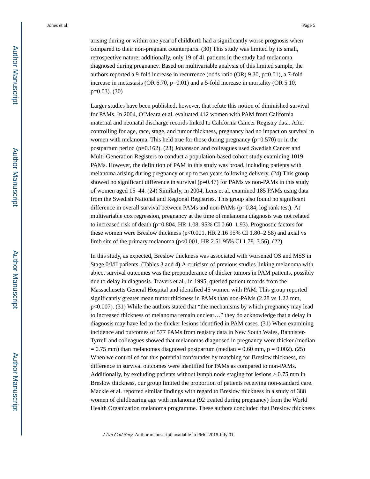arising during or within one year of childbirth had a significantly worse prognosis when compared to their non-pregnant counterparts. (30) This study was limited by its small, retrospective nature; additionally, only 19 of 41 patients in the study had melanoma diagnosed during pregnancy. Based on multivariable analysis of this limited sample, the authors reported a 9-fold increase in recurrence (odds ratio (OR) 9.30, p=0.01), a 7-fold increase in metastasis (OR 6.70, p=0.01) and a 5-fold increase in mortality (OR 5.10, p=0.03). (30)

Larger studies have been published, however, that refute this notion of diminished survival for PAMs. In 2004, O'Meara et al. evaluated 412 women with PAM from California maternal and neonatal discharge records linked to California Cancer Registry data. After controlling for age, race, stage, and tumor thickness, pregnancy had no impact on survival in women with melanoma. This held true for those during pregnancy  $(p=0.570)$  or in the postpartum period (p=0.162). (23) Johansson and colleagues used Swedish Cancer and Multi-Generation Registers to conduct a population-based cohort study examining 1019 PAMs. However, the definition of PAM in this study was broad, including patients with melanoma arising during pregnancy or up to two years following delivery. (24) This group showed no significant difference in survival ( $p=0.47$ ) for PAMs vs non-PAMs in this study of women aged 15–44. (24) Similarly, in 2004, Lens et al. examined 185 PAMs using data from the Swedish National and Regional Registries. This group also found no significant difference in overall survival between PAMs and non-PAMs (p=0.84, log rank test). At multivariable cox regression, pregnancy at the time of melanoma diagnosis was not related to increased risk of death (p=0.804, HR  $1.08$ , 95% CI 0.60–1.93). Prognostic factors for these women were Breslow thickness ( $p<0.001$ , HR 2.16 95% CI 1.80–2.58) and axial vs limb site of the primary melanoma (p<0.001, HR 2.51 95% CI 1.78–3.56). (22)

In this study, as expected, Breslow thickness was associated with worsened OS and MSS in Stage 0/I/II patients. (Tables 3 and 4) A criticism of previous studies linking melanoma with abject survival outcomes was the preponderance of thicker tumors in PAM patients, possibly due to delay in diagnosis. Travers et al., in 1995, queried patient records from the Massachusetts General Hospital and identified 45 women with PAM. This group reported significantly greater mean tumor thickness in PAMs than non-PAMs (2.28 vs 1.22 mm, p<0.007). (31) While the authors stated that "the mechanisms by which pregnancy may lead to increased thickness of melanoma remain unclear…" they do acknowledge that a delay in diagnosis may have led to the thicker lesions identified in PAM cases. (31) When examining incidence and outcomes of 577 PAMs from registry data in New South Wales, Bannister-Tyrrell and colleagues showed that melanomas diagnosed in pregnancy were thicker (median  $= 0.75$  mm) than melanomas diagnosed postpartum (median  $= 0.60$  mm,  $p = 0.002$ ). (25) When we controlled for this potential confounder by matching for Breslow thickness, no difference in survival outcomes were identified for PAMs as compared to non-PAMs. Additionally, by excluding patients without lymph node staging for lesions  $\frac{0.75 \text{ mm in}}{20}$ Breslow thickness, our group limited the proportion of patients receiving non-standard care. Mackie et al. reported similar findings with regard to Breslow thickness in a study of 388 women of childbearing age with melanoma (92 treated during pregnancy) from the World Health Organization melanoma programme. These authors concluded that Breslow thickness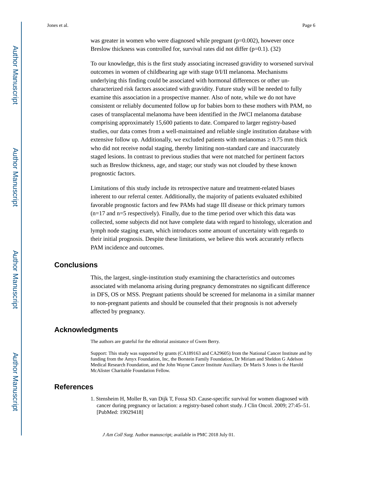was greater in women who were diagnosed while pregnant  $(p=0.002)$ , however once Breslow thickness was controlled for, survival rates did not differ  $(p=0.1)$ . (32)

To our knowledge, this is the first study associating increased gravidity to worsened survival outcomes in women of childbearing age with stage 0/I/II melanoma. Mechanisms underlying this finding could be associated with hormonal differences or other uncharacterized risk factors associated with gravidity. Future study will be needed to fully examine this association in a prospective manner. Also of note, while we do not have consistent or reliably documented follow up for babies born to these mothers with PAM, no cases of transplacental melanoma have been identified in the JWCI melanoma database comprising approximately 15,600 patients to date. Compared to larger registry-based studies, our data comes from a well-maintained and reliable single institution database with extensive follow up. Additionally, we excluded patients with melanomas  $\sim 0.75$  mm thick who did not receive nodal staging, thereby limiting non-standard care and inaccurately staged lesions. In contrast to previous studies that were not matched for pertinent factors such as Breslow thickness, age, and stage; our study was not clouded by these known prognostic factors.

Limitations of this study include its retrospective nature and treatment-related biases inherent to our referral center. Additionally, the majority of patients evaluated exhibited favorable prognostic factors and few PAMs had stage III disease or thick primary tumors  $(n=17$  and  $n=5$  respectively). Finally, due to the time period over which this data was collected, some subjects did not have complete data with regard to histology, ulceration and lymph node staging exam, which introduces some amount of uncertainty with regards to their initial prognosis. Despite these limitations, we believe this work accurately reflects PAM incidence and outcomes.

#### **Conclusions**

This, the largest, single-institution study examining the characteristics and outcomes associated with melanoma arising during pregnancy demonstrates no significant difference in DFS, OS or MSS. Pregnant patients should be screened for melanoma in a similar manner to non-pregnant patients and should be counseled that their prognosis is not adversely affected by pregnancy.

#### **Acknowledgments**

The authors are grateful for the editorial assistance of Gwen Berry.

Support: This study was supported by grants (CA189163 and CA29605) from the National Cancer Institute and by funding from the Amyx Foundation, Inc, the Borstein Family Foundation, Dr Miriam and Sheldon G Adelson Medical Research Foundation, and the John Wayne Cancer Institute Auxiliary. Dr Maris S Jones is the Harold McAlister Charitable Foundation Fellow.

#### **References**

1. Stensheim H, Moller B, van Dijk T, Fossa SD. Cause-specific survival for women diagnosed with cancer during pregnancy or lactation: a registry-based cohort study. J Clin Oncol. 2009; 27:45–51. [PubMed: 19029418]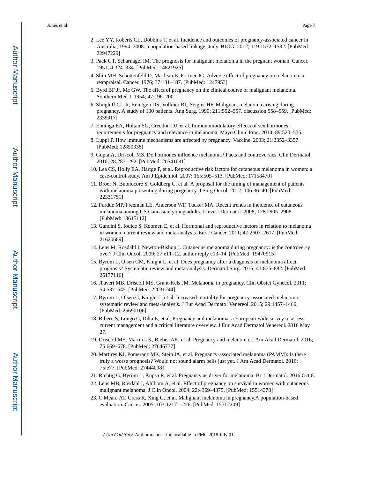- 3. Pack GT, Scharnagel IM. The prognosis for malignant melanoma in the pregnant woman. Cancer. 1951; 4:324–334. [PubMed: 14821926]
- 4. Shiu MH, Schottenfeld D, Maclean B, Fortner JG. Adverse effect of pregnancy on melanoma: a reappraisal. Cancer. 1976; 37:181–187. [PubMed: 1247953]
- 5. Byrd BF Jr, Mc GW. The effect of pregnancy on the clinical course of malignant melanoma. Southern Med J. 1954; 47:196–200.
- 6. Slingluff CL Jr, Reintgen DS, Vollmer RT, Seigler HF. Malignant melanoma arising during pregnancy. A study of 100 patients. Ann Surg. 1990; 211:552–557. discussion 558–559. [PubMed: 2339917]
- 7. Enninga EA, Holtan SG, Creedon DJ, et al. Immunomodulatory effects of sex hormones: requirements for pregnancy and relevance in melanoma. Mayo Clinic Proc. 2014; 89:520–535.
- 8. Luppi P. How immune mechanisms are affected by pregnancy. Vaccine. 2003; 21:3352–3357. [PubMed: 12850338]
- 9. Gupta A, Driscoll MS. Do hormones influence melanoma? Facts and controversies. Clin Dermatol. 2010; 28:287–292. [PubMed: 20541681]
- 10. Lea CS, Holly EA, Hartge P, et al. Reproductive risk factors for cutaneous melanoma in women: a case-control study. Am J Epidemiol. 2007; 165:505–513. [PubMed: 17158470]
- 11. Broer N, Buonocore S, Goldberg C, et al. A proposal for the timing of management of patients with melanoma presenting during pregnancy. J Surg Oncol. 2012; 106:36–40. [PubMed: 22331751]
- 12. Purdue MP, Freeman LE, Anderson WF, Tucker MA. Recent trends in incidence of cutaneous melanoma among US Caucasian young adults. J Invest Dermatol. 2008; 128:2905–2908. [PubMed: 18615112]
- 13. Gandini S, Iodice S, Koomen E, et al. Hormonal and reproductive factors in relation to melanoma in women: current review and meta-analysis. Eur J Cancer. 2011; 47:2607–2617. [PubMed: 21620689]
- 14. Lens M, Rosdahl I, Newton-Bishop J. Cutaneous melanoma during pregnancy: is the controversy over? J Clin Oncol. 2009; 27:e11–12. author reply e13–14. [PubMed: 19470915]
- 15. Byrom L, Olsen CM, Knight L, et al. Does pregnancy after a diagnosis of melanoma affect prognosis? Systematic review and meta-analysis. Dermatol Surg. 2015; 41:875–882. [PubMed: 26177116]
- 16. Jhaveri MB, Driscoll MS, Grant-Kels JM. Melanoma in pregnancy. Clin Obstet Gynecol. 2011; 54:537–545. [PubMed: 22031244]
- 17. Byrom L, Olsen C, Knight L, et al. Increased mortality for pregnancy-associated melanoma: systematic review and meta-analysis. J Eur Acad Dermatol Venereol. 2015; 29:1457–1466. [PubMed: 25690106]
- 18. Ribero S, Longo C, Dika E, et al. Pregnancy and melanoma: a European-wide survey to assess current management and a critical literature overview. J Eur Acad Dermatol Venereol. 2016 May 27.
- 19. Driscoll MS, Martires K, Bieber AK, et al. Pregnancy and melanoma. J Am Acad Dermatol. 2016; 75:669–678. [PubMed: 27646737]
- 20. Martires KJ, Pomeranz MK, Stein JA, et al. Pregnancy-associated melanoma (PAMM): Is there truly a worse prognosis? Would not sound alarm bells just yet. J Am Acad Dermatol. 2016; 75:e77. [PubMed: 27444098]
- 21. Richtig G, Byrom L, Kupsa R, et al. Pregnancy as driver for melanoma. Br J Dermatol. 2016 Oct 8.
- 22. Lens MB, Rosdahl I, Ahlbom A, et al. Effect of pregnancy on survival in women with cutaneous malignant melanoma. J Clin Oncol. 2004; 22:4369–4375. [PubMed: 15514378]
- 23. O'Meara AT, Cress R, Xing G, et al. Malignant melanoma in pregnancy.A population-based evaluation. Cancer. 2005; 103:1217–1226. [PubMed: 15712209]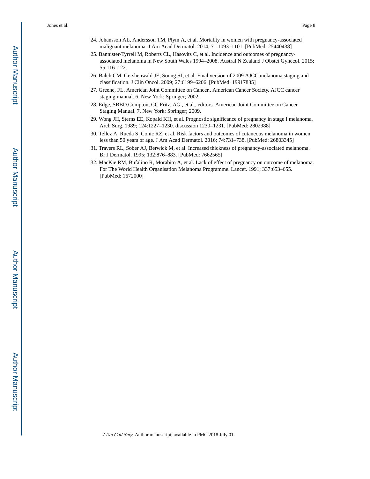- 25. Bannister-Tyrrell M, Roberts CL, Hasovits C, et al. Incidence and outcomes of pregnancyassociated melanoma in New South Wales 1994–2008. Austral N Zealand J Obstet Gynecol. 2015; 55:116–122.
- 26. Balch CM, Gershenwald JE, Soong SJ, et al. Final version of 2009 AJCC melanoma staging and classification. J Clin Oncol. 2009; 27:6199–6206. [PubMed: 19917835]
- 27. Greene, FL. American Joint Committee on Cancer., American Cancer Society. AJCC cancer staging manual. 6. New York: Springer; 2002.
- 28. Edge, SBBD.Compton, CC.Fritz, AG., et al., editors. American Joint Committee on Cancer Staging Manual. 7. New York: Springer; 2009.
- 29. Wong JH, Sterns EE, Kopald KH, et al. Prognostic significance of pregnancy in stage I melanoma. Arch Surg. 1989; 124:1227–1230. discussion 1230–1231. [PubMed: 2802988]
- 30. Tellez A, Rueda S, Conic RZ, et al. Risk factors and outcomes of cutaneous melanoma in women less than 50 years of age. J Am Acad Dermatol. 2016; 74:731–738. [PubMed: 26803345]
- 31. Travers RL, Sober AJ, Berwick M, et al. Increased thickness of pregnancy-associated melanoma. Br J Dermatol. 1995; 132:876–883. [PubMed: 7662565]
- 32. MacKie RM, Bufalino R, Morabito A, et al. Lack of effect of pregnancy on outcome of melanoma. For The World Health Organisation Melanoma Programme. Lancet. 1991; 337:653–655. [PubMed: 1672000]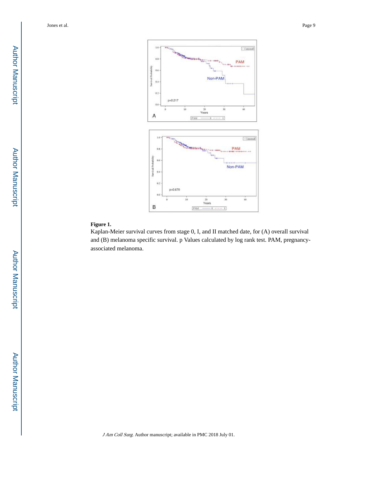

#### **Figure 1.**

Kaplan-Meier survival curves from stage 0, I, and II matched date, for (A) overall survival and (B) melanoma specific survival. p Values calculated by log rank test. PAM, pregnancyassociated melanoma.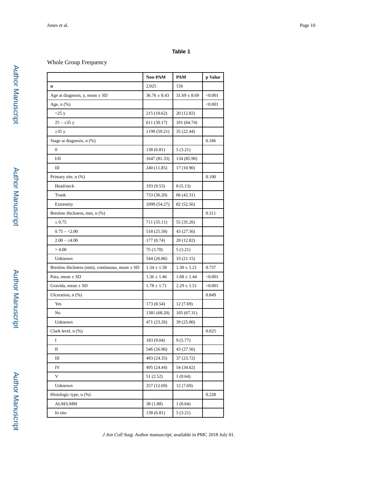### Whole Group Frequency

|                                                   | Non-PAM          | PAM              | p Value |
|---------------------------------------------------|------------------|------------------|---------|
| n                                                 | 2,025            | 156              |         |
| Age at diagnosis, y, mean $\pm$ SD                | $36.76 \pm 8.43$ | $31.69 \pm 8.69$ | < 0.001 |
| Age, $n$ $(\%)$                                   |                  |                  | < 0.001 |
| $<$ 25 y                                          | 215 (10.62)      | 20 (12.82)       |         |
| $25 - 35y$                                        | 611 (30.17)      | 101 (64.74)      |         |
| 35 y                                              | 1199 (59.21)     | 35 (22.44)       |         |
| Stage at diagnosis, n (%)                         |                  |                  | 0.186   |
| $\mathbf{0}$                                      | 138 (6.81)       | 5(3.21)          |         |
| I/II                                              | 1647 (81.33)     | 134 (85.90)      |         |
| Ш                                                 | 240 (11.85)      | 17 (10.90)       |         |
| Primary site, n (%)                               |                  |                  | 0.100   |
| Head/neck                                         | 193 (9.53)       | 8(5.13)          |         |
| Trunk                                             | 733 (36.20)      | 66 (42.31)       |         |
| Extremity                                         | 1099 (54.27)     | 82 (52.56)       |         |
| Breslow thickness, mm, n (%)                      |                  |                  | 0.311   |
| 0.75                                              | 711 (35.11)      | 55 (35.26)       |         |
| $0.75 - 2.00$                                     | 518 (25.58)      | 43 (27.56)       |         |
| $2.00 - 4.00$                                     | 177 (8.74)       | 20 (12.82)       |         |
| >4.00                                             | 75 (3.70)        | 5(3.21)          |         |
| Unknown                                           | 544 (26.86)      | 33 (21.15)       |         |
| Breslow thickness (mm), continuous, mean $\pm$ SD | $1.34 \pm 1.58$  | $1.30 \pm 1.21$  | 0.737   |
| Para, mean $\pm$ SD                               | $1.36 \pm 1.46$  | $1.68 \pm 1.44$  | < 0.001 |
| Gravida, mean $\pm$ SD                            | $1.78 \pm 1.71$  | $2.29 \pm 1.51$  | < 0.001 |
| Ulceration, n (%)                                 |                  |                  | 0.849   |
| Yes                                               | 173 (8.54)       | 12 (7.69)        |         |
| No                                                | 1381 (68.20)     | 105(67.31)       |         |
| Unknown                                           | 471 (23.26)      | 39 (25.00)       |         |
| Clark level, n (%)                                |                  |                  | 0.025   |
| 1                                                 | 183 (9.04)       | 9(5.77)          |         |
| П                                                 | 546 (26.96)      | 43 (27.56)       |         |
| Ш                                                 | 493 (24.35)      | 37 (23.72)       |         |
| IV                                                | 495 (24.44)      | 54 (34.62)       |         |
| V                                                 | 51 (2.52)        | 1(0.64)          |         |
| Unknown                                           | 257 (12.69)      | 12 (7.69)        |         |
| Histologic type, n (%)                            |                  |                  | 0.228   |
| ALM/LMM                                           | 38 (1.88)        | 1(0.64)          |         |
| In situ                                           | 138 (6.81)       | 5 (3.21)         |         |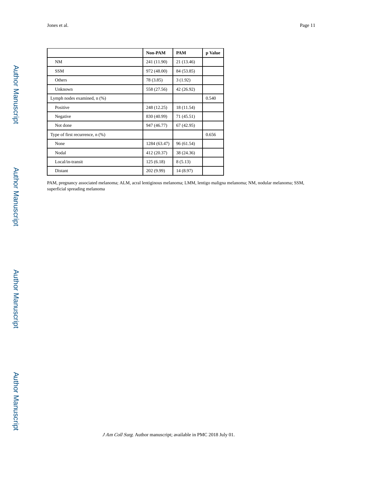|                                      | Non-PAM      | <b>PAM</b> | p Value |
|--------------------------------------|--------------|------------|---------|
| NM                                   | 241 (11.90)  | 21 (13.46) |         |
| <b>SSM</b>                           | 972 (48.00)  | 84 (53.85) |         |
| Others                               | 78 (3.85)    | 3(1.92)    |         |
| Unknown                              | 558 (27.56)  | 42 (26.92) |         |
| Lymph nodes examined, n (%)          |              |            | 0.540   |
| Positive                             | 248 (12.25)  | 18 (11.54) |         |
| Negative                             | 830 (40.99)  | 71 (45.51) |         |
| Not done                             | 947 (46.77)  | 67(42.95)  |         |
| Type of first recurrence, $n$ $(\%)$ |              |            | 0.656   |
| None                                 | 1284 (63.47) | 96 (61.54) |         |
| Nodal                                | 412 (20.37)  | 38 (24.36) |         |
| Local/in-transit                     | 125(6.18)    | 8(5.13)    |         |
| Distant                              | 202 (9.99)   | 14 (8.97)  |         |

PAM, pregnancy associated melanoma; ALM, acral lentiginous melanoma; LMM, lentigo maligna melanoma; NM, nodular melanoma; SSM, superficial spreading melanoma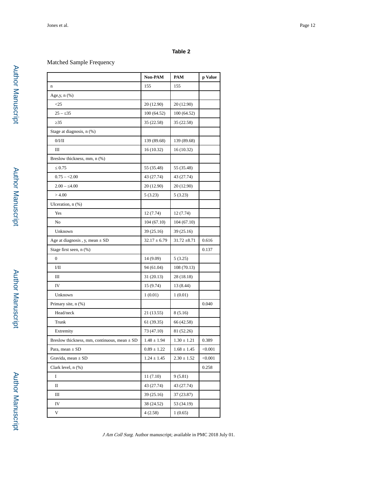#### Matched Sample Frequency

|                                                  | Non-PAM          | PAM              | p Value |
|--------------------------------------------------|------------------|------------------|---------|
| $\bf n$                                          | 155              | 155              |         |
| Age, y, n (%)                                    |                  |                  |         |
| $\leq$ 25                                        | 20 (12.90)       | 20 (12.90)       |         |
| 35<br>$25 -$                                     | 100(64.52)       | 100(64.52)       |         |
| 35                                               | 35 (22.58)       | 35 (22.58)       |         |
| Stage at diagnosis, n (%)                        |                  |                  |         |
| 0/I/II                                           | 139 (89.68)      | 139 (89.68)      |         |
| Ш                                                | 16(10.32)        | 16(10.32)        |         |
| Breslow thickness, mm, n (%)                     |                  |                  |         |
| 0.75                                             | 55 (35.48)       | 55 (35.48)       |         |
| $0.75 - 2.00$                                    | 43 (27.74)       | 43 (27.74)       |         |
| $2.00 - 4.00$                                    | 20 (12.90)       | 20 (12.90)       |         |
| >4.00                                            | 5(3.23)          | 5(3.23)          |         |
| Ulceration, n (%)                                |                  |                  |         |
| Yes                                              | 12(7.74)         | 12 (7.74)        |         |
| No                                               | 104(67.10)       | 104(67.10)       |         |
| Unknown                                          | 39 (25.16)       | 39 (25.16)       |         |
| Age at diagnosis, y, mean $\pm$ SD               | $32.17 \pm 6.79$ | $31.72 \pm 8.71$ | 0.616   |
| Stage first seen, n (%)                          |                  |                  | 0.137   |
| $\boldsymbol{0}$                                 | 14 (9.09)        | 5(3.25)          |         |
| 1/11                                             | 94 (61.04)       | 108(70.13)       |         |
| Ш                                                | 31 (20.13)       | 28 (18.18)       |         |
| IV                                               | 15 (9.74)        | 13 (8.44)        |         |
| Unknown                                          | 1(0.01)          | 1(0.01)          |         |
| Primary site, n (%)                              |                  |                  | 0.040   |
| Head/neck                                        | 21 (13.55)       | 8(5.16)          |         |
| Trunk                                            | 61 (39.35)       | 66 (42.58)       |         |
| Extremity                                        | 73 (47.10)       | 81 (52.26)       |         |
| Breslow thickness, mm, continuous, mean $\pm$ SD | $1.48 \pm 1.94$  | $1.30 \pm 1.21$  | 0.389   |
| Para, mean $\pm$ SD                              | $0.89\pm1.22$    | $1.68 \pm 1.45$  | < 0.001 |
| Gravida, mean $\pm$ SD                           | $1.24 \pm 1.45$  | $2.30 \pm 1.52$  | < 0.001 |
| Clark level, $n$ $(\%)$                          |                  |                  | 0.258   |
| I                                                | 11(7.10)         | 9(5.81)          |         |
| П                                                | 43 (27.74)       | 43 (27.74)       |         |
| Ш                                                | 39 (25.16)       | 37 (23.87)       |         |
| IV                                               | 38 (24.52)       | 53 (34.19)       |         |
| V                                                | 4(2.58)          | 1(0.65)          |         |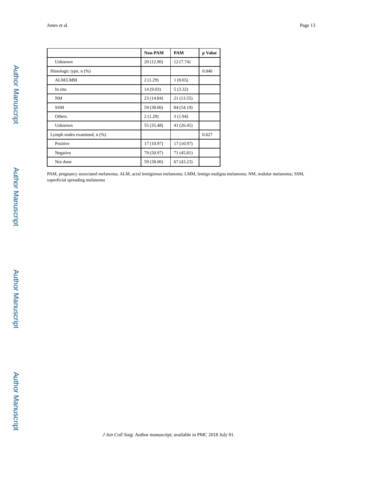|                             | <b>Non-PAM</b> | <b>PAM</b> | p Value |
|-----------------------------|----------------|------------|---------|
| Unknown                     | 20 (12.90)     | 12(7.74)   |         |
| Histologic type, n (%)      |                |            | 0.046   |
| ALM/LMM                     | 2(1.29)        | 1(0.65)    |         |
| In situ                     | 14 (9.03)      | 5(3.32)    |         |
| NM                          | 23 (14.84)     | 21 (13.55) |         |
| <b>SSM</b>                  | 59 (38.06)     | 84 (54.19) |         |
| Others                      | 2(1.29)        | 3(1.94)    |         |
| Unknown                     | 55 (35.48)     | 41 (26.45) |         |
| Lymph nodes examined, n (%) |                |            | 0.627   |
| Positive                    | 17 (10.97)     | 17 (10.97) |         |
| Negative                    | 79 (50.97)     | 71 (45.81) |         |
| Not done                    | 59 (38.06)     | 67(43.23)  |         |

PAM, pregnancy associated melanoma; ALM, acral lentiginous melanoma; LMM, lentigo maligna melanoma; NM, nodular melanoma; SSM, superficial spreading melanoma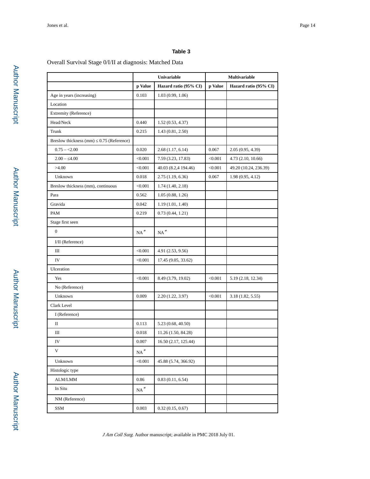#### Overall Survival Stage 0/I/II at diagnosis: Matched Data

|                                         | Univariable         |                          | Multivariable |                       |
|-----------------------------------------|---------------------|--------------------------|---------------|-----------------------|
|                                         | p Value             | Hazard ratio (95% CI)    | p Value       | Hazard ratio (95% CI) |
| Age in years (increasing)               | 0.103               | 1.03(0.99, 1.06)         |               |                       |
| Location                                |                     |                          |               |                       |
| Extremity (Reference)                   |                     |                          |               |                       |
| Head/Neck                               | 0.440               | 1.52(0.53, 4.37)         |               |                       |
| Trunk                                   | 0.215               | 1.43(0.81, 2.50)         |               |                       |
| Breslow thickness (mm) 0.75 (Reference) |                     |                          |               |                       |
| $0.75 - 2.00$                           | 0.020               | 2.68(1.17, 6.14)         | 0.067         | 2.05(0.95, 4.39)      |
| $2.00 - 4.00$                           | < 0.001             | 7.59 (3.23, 17.83)       | < 0.001       | 4.73 (2.10, 10.66)    |
| >4.00                                   | < 0.001             | 40.03 (8.2,4 194.46)     | < 0.001       | 49.20 (10.24, 236.39) |
| Unknown                                 | 0.018               | 2.75(1.19, 6.36)         | 0.067         | 1.98(0.95, 4.12)      |
| Breslow thickness (mm), continuous      | < 0.001             | 1.74(1.40, 2.18)         |               |                       |
| Para                                    | 0.562               | 1.05(0.88, 1.26)         |               |                       |
| Gravida                                 | 0.042               | 1.19(1.01, 1.40)         |               |                       |
| PAM                                     | 0.219               | 0.73(0.44, 1.21)         |               |                       |
| Stage first seen                        |                     |                          |               |                       |
| $\mathbf{0}$                            | $NA^*$              | $\mathrm{NA}^{\,*}$      |               |                       |
| I/II (Reference)                        |                     |                          |               |                       |
| Ш                                       | < 0.001             | 4.91 (2.53, 9.56)        |               |                       |
| IV                                      | < 0.001             | 17.45 (9.05, 33.62)      |               |                       |
| Ulceration                              |                     |                          |               |                       |
| Yes                                     | < 0.001             | 8.49 (3.79, 19.02)       | < 0.001       | 5.19 (2.18, 12.34)    |
| No (Reference)                          |                     |                          |               |                       |
| Unknown                                 | 0.009               | 2.20(1.22, 3.97)         | < 0.001       | 3.18 (1.82, 5.55)     |
| Clark Level                             |                     |                          |               |                       |
| I (Reference)                           |                     |                          |               |                       |
| П                                       | 0.113               | 5.23(0.68, 40.50)        |               |                       |
| Ш                                       | 0.018               | 11.26 (1.50, 84.28)      |               |                       |
| IV                                      | $0.007\,$           | $16.50\ (2.17,\,125.44)$ |               |                       |
| V                                       | $\mathrm{NA}^{\,*}$ |                          |               |                       |
| Unknown                                 | < 0.001             | 45.88 (5.74, 366.92)     |               |                       |
| Histologic type                         |                     |                          |               |                       |
| ALM/LMM                                 | 0.86                | 0.83(0.11, 6.54)         |               |                       |
| In Situ                                 | $\mathrm{NA}^{\,*}$ |                          |               |                       |
| NM (Reference)                          |                     |                          |               |                       |
| SSM                                     | 0.003               | 0.32(0.15, 0.67)         |               |                       |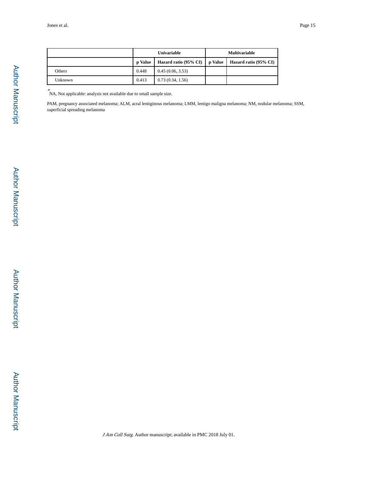|         | <b>Univariable</b> |                       | <b>Multivariable</b> |                       |
|---------|--------------------|-----------------------|----------------------|-----------------------|
|         | p Value            | Hazard ratio (95% CI) | p Value              | Hazard ratio (95% CI) |
| Others  | 0.448              | 0.45(0.06, 3.53)      |                      |                       |
| Unknown | 0.413              | 0.73(0.34, 1.56)      |                      |                       |

\* NA, Not applicable: analysis not available due to small sample size.

PAM, pregnancy associated melanoma; ALM, acral lentiginous melanoma; LMM, lentigo maligna melanoma; NM, nodular melanoma; SSM, superficial spreading melanoma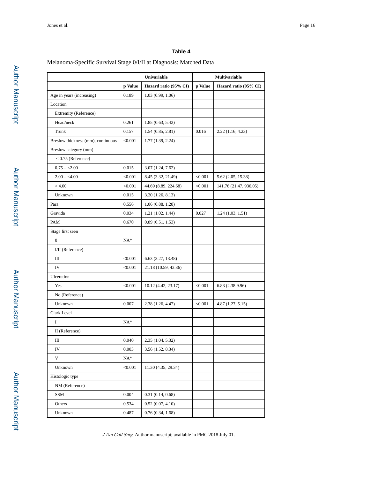#### Melanoma-Specific Survival Stage 0/I/II at Diagnosis: Matched Data

|                                    | Univariable |                       | Multivariable |                        |
|------------------------------------|-------------|-----------------------|---------------|------------------------|
|                                    | p Value     | Hazard ratio (95% CI) | p Value       | Hazard ratio (95% CI)  |
| Age in years (increasing)          | 0.189       | 1.03(0.99, 1.06)      |               |                        |
| Location                           |             |                       |               |                        |
| Extremity (Reference)              |             |                       |               |                        |
| Head/neck                          | 0.261       | 1.85(0.63, 5.42)      |               |                        |
| Trunk                              | 0.157       | 1.54(0.85, 2.81)      | 0.016         | 2.22(1.16, 4.23)       |
| Breslow thickness (mm), continuous | < 0.001     | 1.77(1.39, 2.24)      |               |                        |
| Breslow category (mm)              |             |                       |               |                        |
| 0.75 (Reference)                   |             |                       |               |                        |
| $0.75 - 2.00$                      | 0.015       | 3.07(1.24, 7.62)      |               |                        |
| $2.00 - 4.00$                      | < 0.001     | 8.45 (3.32, 21.49)    | < 0.001       | 5.62 (2.05, 15.38)     |
| >4.00                              | < 0.001     | 44.69 (8.89, 224.68)  | < 0.001       | 141.76 (21.47, 936.05) |
| Unknown                            | 0.015       | 3.20(1.26, 8.13)      |               |                        |
| Para                               | 0.556       | 1.06(0.88, 1.28)      |               |                        |
| Gravida                            | 0.034       | 1.21(1.02, 1.44)      | 0.027         | 1.24(1.03, 1.51)       |
| PAM                                | 0.670       | 0.89(0.51, 1.53)      |               |                        |
| Stage first seen                   |             |                       |               |                        |
| $\overline{0}$                     | $NA*$       |                       |               |                        |
| I/II (Reference)                   |             |                       |               |                        |
| Ш                                  | < 0.001     | 6.63 (3.27, 13.48)    |               |                        |
| IV                                 | < 0.001     | 21.18 (10.59, 42.36)  |               |                        |
| Ulceration                         |             |                       |               |                        |
| Yes                                | < 0.001     | 10.12 (4.42, 23.17)   | < 0.001       | 6.83 (2.38 9.96)       |
| No (Reference)                     |             |                       |               |                        |
| Unknown                            | 0.007       | 2.38(1.26, 4.47)      | < 0.001       | 4.87(1.27, 5.15)       |
| Clark Level                        |             |                       |               |                        |
| I                                  | $NA*$       |                       |               |                        |
| II (Reference)                     |             |                       |               |                        |
| Ш                                  | 0.040       | 2.35 (1.04, 5.32)     |               |                        |
| IV                                 | 0.003       | 3.56(1.52, 8.34)      |               |                        |
| V                                  | $NA^*$      |                       |               |                        |
| Unknown                            | < 0.001     | 11.30 (4.35, 29.34)   |               |                        |
| Histologic type                    |             |                       |               |                        |
| NM (Reference)                     |             |                       |               |                        |
| SSM                                | 0.004       | 0.31(0.14, 0.68)      |               |                        |
| Others                             | 0.534       | 0.52(0.07, 4.10)      |               |                        |
| Unknown                            | 0.487       | 0.76(0.34, 1.68)      |               |                        |
|                                    |             |                       |               |                        |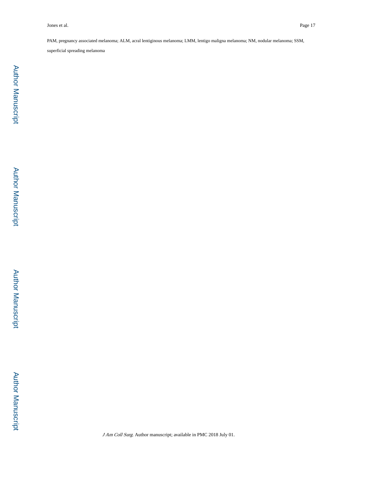PAM, pregnancy associated melanoma; ALM, acral lentiginous melanoma; LMM, lentigo maligna melanoma; NM, nodular melanoma; SSM,

superficial spreading melanoma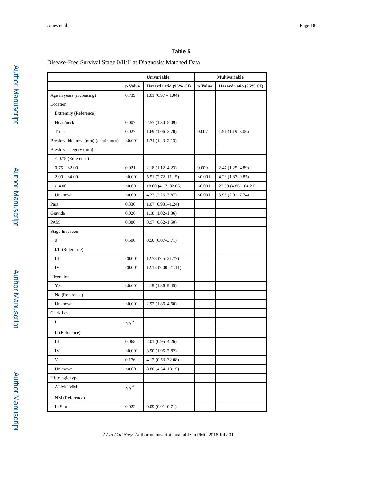#### Disease-Free Survival Stage 0/II/II at Diagnosis: Matched Data

|                                     | Univariable         |                       | Multivariable |                       |
|-------------------------------------|---------------------|-----------------------|---------------|-----------------------|
|                                     | p Value             | Hazard ratio (95% CI) | p Value       | Hazard ratio (95% CI) |
| Age in years (increasing)           | 0.739               | $1.01(0.97 - 1.04)$   |               |                       |
| Location                            |                     |                       |               |                       |
| Extremity (Reference)               |                     |                       |               |                       |
| Head/neck                           | 0.007               | $2.57(1.30-5.09)$     |               |                       |
| Trunk                               | 0.027               | $1.69(1.06-2.70)$     | 0.007         | $1.91(1.19-3.06)$     |
| Breslow thickness (mm) (continuous) | < 0.001             | $1.74(1.43 - 2.13)$   |               |                       |
| Breslow category (mm)               |                     |                       |               |                       |
| 0.75 (Reference)                    |                     |                       |               |                       |
| $0.75 - 2.00$                       | 0.021               | $2.18(1.12 - 4.23)$   | 0.009         | $2.47(1.25 - 4.89)$   |
| $2.00 - 4.00$                       | < 0.001             | $5.51(2.72 - 11.15)$  | < 0.001       | $4.28(1.87-9.85)$     |
| >4.00                               | < 0.001             | 18.60 (4.17–82.85)    | < 0.001       | 22.50 (4.86-104.21)   |
| Unknown                             | < 0.001             | $4.22(2.26 - 7.87)$   | < 0.001       | $3.95(2.01 - 7.74)$   |
| Para                                | 0.330               | $1.07(0.931-1.24)$    |               |                       |
| Gravida                             | 0.026               | $1.18(1.02 - 1.36)$   |               |                       |
| PAM                                 | 0.880               | $0.97(0.62 - 1.50)$   |               |                       |
| Stage first seen                    |                     |                       |               |                       |
| $\overline{0}$                      | 0.500               | $0.50(0.07-3.71)$     |               |                       |
| I/II (Reference)                    |                     |                       |               |                       |
| Ш                                   | < 0.001             | $12.78(7.5 - 21.77)$  |               |                       |
| IV                                  | < 0.001             | $12.15(7.00-21.11)$   |               |                       |
| Ulceration                          |                     |                       |               |                       |
| Yes                                 | < 0.001             | $4.19(1.86 - 9.45)$   |               |                       |
| No (Reference)                      |                     |                       |               |                       |
| Unknown                             | < 0.001             | $2.92(1.86 - 4.60)$   |               |                       |
| Clark Level                         |                     |                       |               |                       |
| I                                   | $\mathrm{NA}^{\,*}$ |                       |               |                       |
| II (Reference)                      |                     |                       |               |                       |
| Ш                                   | $\,0.068\,$         | $2.01(0.95-4.26)$     |               |                       |
| IV                                  | < 0.001             | $3.90(1.95 - 7.82)$   |               |                       |
| $\mathbf V$                         | 0.176               | 4.12 (0.53-32.08)     |               |                       |
| Unknown                             | < 0.001             | $8.88(4.34 - 18.15)$  |               |                       |
| Histologic type                     |                     |                       |               |                       |
| $\text{ALM/LMM}$                    | $\mathrm{NA}^{\,*}$ |                       |               |                       |
| NM (Reference)                      |                     |                       |               |                       |
| In Situ                             | 0.022               | $0.09(0.01 - 0.71)$   |               |                       |